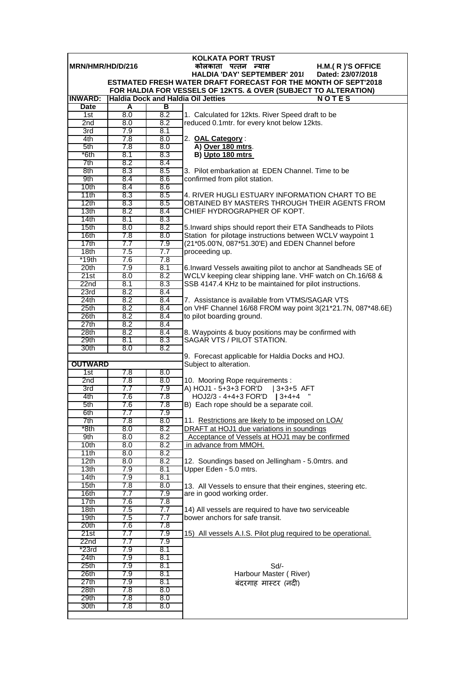|                                                                              |            |            | <b>KOLKATA PORT TRUST</b><br>कोलकाता पत्तन न्यास<br>H.M.(R)'S OFFICE                                                 |  |  |  |
|------------------------------------------------------------------------------|------------|------------|----------------------------------------------------------------------------------------------------------------------|--|--|--|
| MRN/HMR/HD/D/216<br><b>HALDIA 'DAY' SEPTEMBER' 2018</b><br>Dated: 23/07/2018 |            |            |                                                                                                                      |  |  |  |
|                                                                              |            |            | ESTMATED FRESH WATER DRAFT FORECAST FOR THE MONTH OF SEPT'2018                                                       |  |  |  |
|                                                                              |            |            | FOR HALDIA FOR VESSELS OF 12KTS. & OVER (SUBJECT TO ALTERATION)                                                      |  |  |  |
| <b>INWARD:</b><br><b>Date</b>                                                | A          | в          | <b>Haldia Dock and Haldia Oil Jetties</b><br><b>NOTES</b>                                                            |  |  |  |
| 1st                                                                          | 8.0        | 8.2        | 1. Calculated for 12kts. River Speed draft to be                                                                     |  |  |  |
| 2 <sub>nd</sub>                                                              | 8.0        | 8.2        | reduced 0.1mtr. for every knot below 12kts.                                                                          |  |  |  |
| 3rd                                                                          | 7.9        | 8.1        |                                                                                                                      |  |  |  |
| 4th                                                                          | 7.8        | 8.0        | 2. OAL Category:                                                                                                     |  |  |  |
| 5th                                                                          | 7.8        | 8.0        | A) Over 180 mtrs.                                                                                                    |  |  |  |
| *6th<br>7th                                                                  | 8.1<br>8.2 | 8.3<br>8.4 | B) Upto 180 mtrs                                                                                                     |  |  |  |
| 8th                                                                          | 8.3        | 8.5        | 3. Pilot embarkation at EDEN Channel. Time to be                                                                     |  |  |  |
| 9th                                                                          | 8.4        | 8.6        | confirmed from pilot station.                                                                                        |  |  |  |
| 10 <sub>th</sub>                                                             | 8.4        | 8.6        |                                                                                                                      |  |  |  |
| 11th                                                                         | 8.3        | 8.5        | 4. RIVER HUGLI ESTUARY INFORMATION CHART TO BE                                                                       |  |  |  |
| 12th                                                                         | 8.3        | 8.5        | OBTAINED BY MASTERS THROUGH THEIR AGENTS FROM                                                                        |  |  |  |
| 13 <sub>th</sub>                                                             | 8.2        | 8.4        | CHIEF HYDROGRAPHER OF KOPT.                                                                                          |  |  |  |
| 14th<br>15th                                                                 | 8.1<br>8.0 | 8.3<br>8.2 | 5. Inward ships should report their ETA Sandheads to Pilots                                                          |  |  |  |
| 16th                                                                         | 7.8        | 8.0        | Station for pilotage instructions between WCLV waypoint 1                                                            |  |  |  |
| 17th                                                                         | 7.7        | 7.9        | (21*05.00'N, 087*51.30'E) and EDEN Channel before                                                                    |  |  |  |
| 18 <sub>th</sub>                                                             | 7.5        | 7.7        | proceeding up.                                                                                                       |  |  |  |
| $*19th$                                                                      | 7.6        | 7.8        |                                                                                                                      |  |  |  |
| 20th                                                                         | 7.9        | 8.1        | 6. Inward Vessels awaiting pilot to anchor at Sandheads SE of                                                        |  |  |  |
| 21st<br>22n <sub>d</sub>                                                     | 8.0<br>8.1 | 8.2<br>8.3 | WCLV keeping clear shipping lane. VHF watch on Ch.16/68 &<br>SSB 4147.4 KHz to be maintained for pilot instructions. |  |  |  |
| 23rd                                                                         | 8.2        | 8.4        |                                                                                                                      |  |  |  |
| 24th                                                                         | 8.2        | 8.4        | 7. Assistance is available from VTMS/SAGAR VTS                                                                       |  |  |  |
| 25th                                                                         | 8.2        | 8.4        | on VHF Channel 16/68 FROM way point 3(21*21.7N, 087*48.6E)                                                           |  |  |  |
| 26th                                                                         | 8.2        | 8.4        | to pilot boarding ground.                                                                                            |  |  |  |
| 27th                                                                         | 8.2        | 8.4        |                                                                                                                      |  |  |  |
| 28th<br>29th                                                                 | 8.2<br>8.1 | 8.4<br>8.3 | 8. Waypoints & buoy positions may be confirmed with<br>SAGAR VTS / PILOT STATION.                                    |  |  |  |
| 30th                                                                         | 8.0        | 8.2        |                                                                                                                      |  |  |  |
|                                                                              |            |            | 9. Forecast applicable for Haldia Docks and HOJ.                                                                     |  |  |  |
| <b>OUTWARD</b>                                                               |            |            | Subject to alteration.                                                                                               |  |  |  |
| 1st                                                                          | 7.8        | 8.0        |                                                                                                                      |  |  |  |
| 2nd<br>3rd                                                                   | 7.8<br>7.7 | 8.0<br>7.9 | 10. Mooring Rope requirements :<br>A) HOJ1 - 5+3+3 FOR'D<br>$13+3+5$ AFT                                             |  |  |  |
| 4th                                                                          | 7.6        | 7.8        | HOJ2/3 - 4+4+3 FOR'D   3+4+4                                                                                         |  |  |  |
| 5th                                                                          | 7.6        | 7.8        | B) Each rope should be a separate coil.                                                                              |  |  |  |
| 6th                                                                          | 7.7        | 7.9        |                                                                                                                      |  |  |  |
| 7th                                                                          | 7.8        | 8.0        | 11. Restrictions are likely to be imposed on LOA/                                                                    |  |  |  |
| *8th                                                                         | 8.0        | 8.2        | DRAFT at HOJ1 due variations in soundings                                                                            |  |  |  |
| 9th<br>10th                                                                  | 8.0<br>8.0 | 8.2<br>8.2 | Acceptance of Vessels at HOJ1 may be confirmed<br>in advance from MMOH.                                              |  |  |  |
| 11th                                                                         | 8.0        | 8.2        |                                                                                                                      |  |  |  |
| 12th                                                                         | 8.0        | 8.2        | 12. Soundings based on Jellingham - 5.0mtrs. and                                                                     |  |  |  |
| 13 <sub>th</sub>                                                             | 7.9        | 8.1        | Upper Eden - 5.0 mtrs.                                                                                               |  |  |  |
| 14th                                                                         | 7.9        | 8.1        |                                                                                                                      |  |  |  |
| 15 <sub>th</sub>                                                             | 7.8        | 8.0        | 13. All Vessels to ensure that their engines, steering etc.                                                          |  |  |  |
| 16th<br>17th                                                                 | 7.7<br>7.6 | 7.9<br>7.8 | are in good working order.                                                                                           |  |  |  |
| 18th                                                                         | 7.5        | 7.7        | 14) All vessels are required to have two serviceable                                                                 |  |  |  |
| 19th                                                                         | 7.5        | 7.7        | bower anchors for safe transit.                                                                                      |  |  |  |
| 20th                                                                         | 7.6        | 7.8        |                                                                                                                      |  |  |  |
| 21st                                                                         | 7.7        | 7.9        | 15) All vessels A.I.S. Pilot plug required to be operational.                                                        |  |  |  |
| 22 <sub>nd</sub>                                                             | 7.7        | 7.9        |                                                                                                                      |  |  |  |
| $*23rd$                                                                      | 7.9        | 8.1        |                                                                                                                      |  |  |  |
| 24th<br>25th                                                                 | 7.9<br>7.9 | 8.1<br>8.1 | Sd                                                                                                                   |  |  |  |
| 26th                                                                         | 7.9        | 8.1        | Harbour Master (River)                                                                                               |  |  |  |
| 27th                                                                         | 7.9        | 8.1        | बंदरगाह मास्टर (नदी)                                                                                                 |  |  |  |
| 28th                                                                         | 7.8        | 8.0        |                                                                                                                      |  |  |  |
| 29th                                                                         | 7.8        | 8.0        |                                                                                                                      |  |  |  |
| 30th                                                                         | 7.8        | 8.0        |                                                                                                                      |  |  |  |
|                                                                              |            |            |                                                                                                                      |  |  |  |